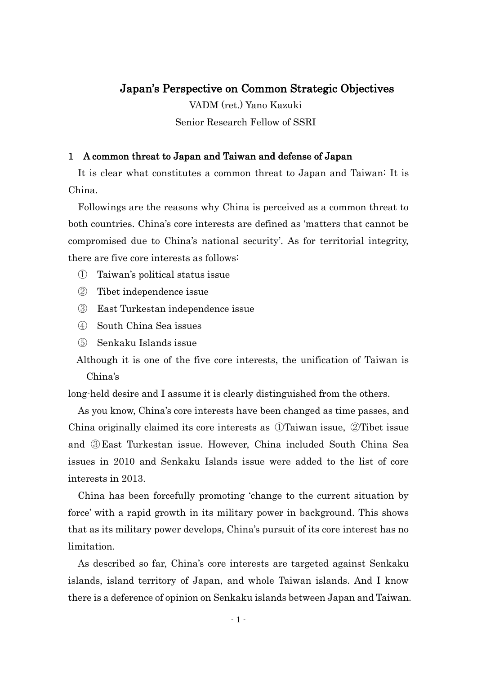# Japan's Perspective on Common Strategic Objectives

VADM (ret.) Yano Kazuki Senior Research Fellow of SSRI

## 1 A common threat to Japan and Taiwan and defense of Japan

It is clear what constitutes a common threat to Japan and Taiwan: It is China.

Followings are the reasons why China is perceived as a common threat to both countries. China's core interests are defined as 'matters that cannot be compromised due to China's national security'. As for territorial integrity, there are five core interests as follows:

- ① Taiwan's political status issue
- ② Tibet independence issue
- ③ East Turkestan independence issue
- ④ South China Sea issues
- ⑤ Senkaku Islands issue

Although it is one of the five core interests, the unification of Taiwan is China's

long-held desire and I assume it is clearly distinguished from the others.

As you know, China's core interests have been changed as time passes, and China originally claimed its core interests as ①Taiwan issue, ②Tibet issue and ③East Turkestan issue. However, China included South China Sea issues in 2010 and Senkaku Islands issue were added to the list of core interests in 2013.

China has been forcefully promoting 'change to the current situation by force' with a rapid growth in its military power in background. This shows that as its military power develops, China's pursuit of its core interest has no limitation.

As described so far, China's core interests are targeted against Senkaku islands, island territory of Japan, and whole Taiwan islands. And I know there is a deference of opinion on Senkaku islands between Japan and Taiwan.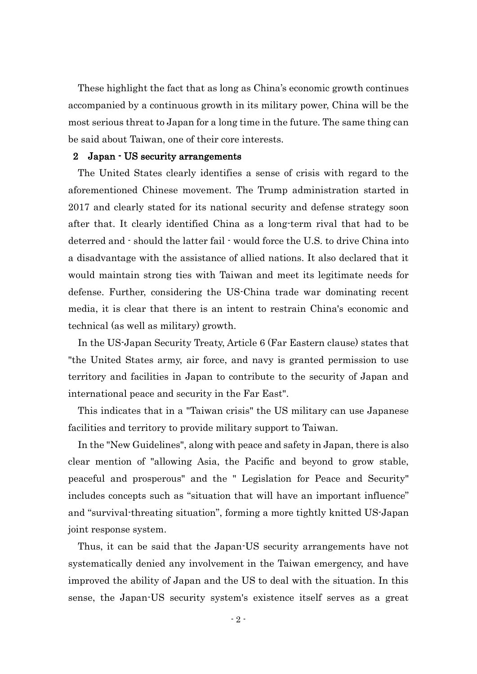These highlight the fact that as long as China's economic growth continues accompanied by a continuous growth in its military power, China will be the most serious threat to Japan for a long time in the future. The same thing can be said about Taiwan, one of their core interests.

#### 2 Japan - US security arrangements

The United States clearly identifies a sense of crisis with regard to the aforementioned Chinese movement. The Trump administration started in 2017 and clearly stated for its national security and defense strategy soon after that. It clearly identified China as a long-term rival that had to be deterred and - should the latter fail - would force the U.S. to drive China into a disadvantage with the assistance of allied nations. It also declared that it would maintain strong ties with Taiwan and meet its legitimate needs for defense. Further, considering the US-China trade war dominating recent media, it is clear that there is an intent to restrain China's economic and technical (as well as military) growth.

In the US-Japan Security Treaty, Article 6 (Far Eastern clause) states that "the United States army, air force, and navy is granted permission to use territory and facilities in Japan to contribute to the security of Japan and international peace and security in the Far East".

This indicates that in a "Taiwan crisis" the US military can use Japanese facilities and territory to provide military support to Taiwan.

In the "New Guidelines", along with peace and safety in Japan, there is also clear mention of "allowing Asia, the Pacific and beyond to grow stable, peaceful and prosperous" and the " Legislation for Peace and Security" includes concepts such as "situation that will have an important influence" and "survival-threating situation", forming a more tightly knitted US-Japan joint response system.

Thus, it can be said that the Japan-US security arrangements have not systematically denied any involvement in the Taiwan emergency, and have improved the ability of Japan and the US to deal with the situation. In this sense, the Japan-US security system's existence itself serves as a great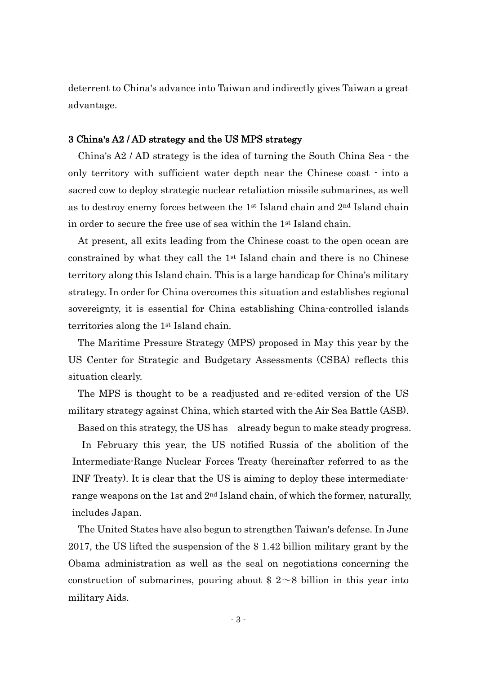deterrent to China's advance into Taiwan and indirectly gives Taiwan a great advantage.

#### 3 China's A2 / AD strategy and the US MPS strategy

China's A2 / AD strategy is the idea of turning the South China Sea - the only territory with sufficient water depth near the Chinese coast - into a sacred cow to deploy strategic nuclear retaliation missile submarines, as well as to destroy enemy forces between the 1st Island chain and 2nd Island chain in order to secure the free use of sea within the 1st Island chain.

At present, all exits leading from the Chinese coast to the open ocean are constrained by what they call the 1st Island chain and there is no Chinese territory along this Island chain. This is a large handicap for China's military strategy. In order for China overcomes this situation and establishes regional sovereignty, it is essential for China establishing China-controlled islands territories along the 1st Island chain.

The Maritime Pressure Strategy (MPS) proposed in May this year by the US Center for Strategic and Budgetary Assessments (CSBA) reflects this situation clearly.

The MPS is thought to be a readjusted and re-edited version of the US military strategy against China, which started with the Air Sea Battle (ASB).

Based on this strategy, the US has already begun to make steady progress.

In February this year, the US notified Russia of the abolition of the Intermediate-Range Nuclear Forces Treaty (hereinafter referred to as the INF Treaty). It is clear that the US is aiming to deploy these intermediaterange weapons on the 1st and 2nd Island chain, of which the former, naturally, includes Japan.

The United States have also begun to strengthen Taiwan's defense. In June 2017, the US lifted the suspension of the \$ 1.42 billion military grant by the Obama administration as well as the seal on negotiations concerning the construction of submarines, pouring about  $\frac{2}{8}$  2~8 billion in this year into military Aids.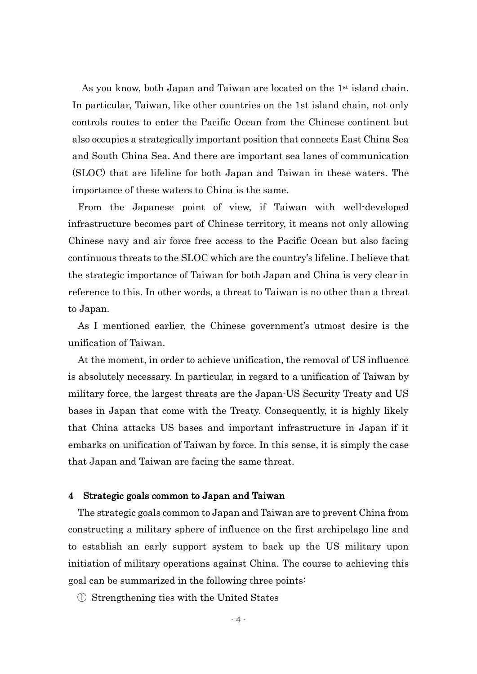As you know, both Japan and Taiwan are located on the 1<sup>st</sup> island chain. In particular, Taiwan, like other countries on the 1st island chain, not only controls routes to enter the Pacific Ocean from the Chinese continent but also occupies a strategically important position that connects East China Sea and South China Sea. And there are important sea lanes of communication (SLOC) that are lifeline for both Japan and Taiwan in these waters. The importance of these waters to China is the same.

From the Japanese point of view, if Taiwan with well-developed infrastructure becomes part of Chinese territory, it means not only allowing Chinese navy and air force free access to the Pacific Ocean but also facing continuous threats to the SLOC which are the country's lifeline. I believe that the strategic importance of Taiwan for both Japan and China is very clear in reference to this. In other words, a threat to Taiwan is no other than a threat to Japan.

As I mentioned earlier, the Chinese government's utmost desire is the unification of Taiwan.

At the moment, in order to achieve unification, the removal of US influence is absolutely necessary. In particular, in regard to a unification of Taiwan by military force, the largest threats are the Japan-US Security Treaty and US bases in Japan that come with the Treaty. Consequently, it is highly likely that China attacks US bases and important infrastructure in Japan if it embarks on unification of Taiwan by force. In this sense, it is simply the case that Japan and Taiwan are facing the same threat.

### 4 Strategic goals common to Japan and Taiwan

The strategic goals common to Japan and Taiwan are to prevent China from constructing a military sphere of influence on the first archipelago line and to establish an early support system to back up the US military upon initiation of military operations against China. The course to achieving this goal can be summarized in the following three points:

① Strengthening ties with the United States